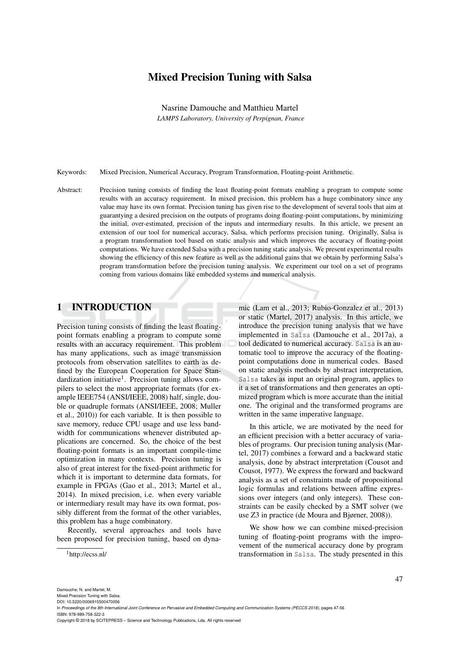# Mixed Precision Tuning with Salsa

Nasrine Damouche and Matthieu Martel *LAMPS Laboratory, University of Perpignan, France*

Keywords: Mixed Precision, Numerical Accuracy, Program Transformation, Floating-point Arithmetic.

Abstract: Precision tuning consists of finding the least floating-point formats enabling a program to compute some results with an accuracy requirement. In mixed precision, this problem has a huge combinatory since any value may have its own format. Precision tuning has given rise to the development of several tools that aim at guarantying a desired precision on the outputs of programs doing floating-point computations, by minimizing the initial, over-estimated, precision of the inputs and intermediary results. In this article, we present an extension of our tool for numerical accuracy, Salsa, which performs precision tuning. Originally, Salsa is a program transformation tool based on static analysis and which improves the accuracy of floating-point computations. We have extended Salsa with a precision tuning static analysis. We present experimental results showing the efficiency of this new feature as well as the additional gains that we obtain by performing Salsa's program transformation before the precision tuning analysis. We experiment our tool on a set of programs coming from various domains like embedded systems and numerical analysis.

#### 1 INTRODUCTION

Precision tuning consists of finding the least floatingpoint formats enabling a program to compute some results with an accuracy requirement. This problem has many applications, such as image transmission protocols from observation satellites to earth as defined by the European Cooperation for Space Standardization initiative<sup>1</sup>. Precision tuning allows compilers to select the most appropriate formats (for example IEEE754 (ANSI/IEEE, 2008) half, single, double or quadruple formats (ANSI/IEEE, 2008; Muller et al., 2010)) for each variable. It is then possible to save memory, reduce CPU usage and use less bandwidth for communications whenever distributed applications are concerned. So, the choice of the best floating-point formats is an important compile-time optimization in many contexts. Precision tuning is also of great interest for the fixed-point arithmetic for which it is important to determine data formats, for example in FPGAs (Gao et al., 2013; Martel et al., 2014). In mixed precision, i.e. when every variable or intermediary result may have its own format, possibly different from the format of the other variables, this problem has a huge combinatory.

Recently, several approaches and tools have been proposed for precision tuning, based on dyna-

<sup>1</sup>http://ecss.nl/

mic (Lam et al., 2013; Rubio-Gonzalez et al., 2013) or static (Martel, 2017) analysis. In this article, we introduce the precision tuning analysis that we have implemented in Salsa (Damouche et al., 2017a), a tool dedicated to numerical accuracy. Salsa is an automatic tool to improve the accuracy of the floatingpoint computations done in numerical codes. Based on static analysis methods by abstract interpretation, Salsa takes as input an original program, applies to it a set of transformations and then generates an optimized program which is more accurate than the initial one. The original and the transformed programs are written in the same imperative language.

In this article, we are motivated by the need for an efficient precision with a better accuracy of variables of programs. Our precision tuning analysis (Martel, 2017) combines a forward and a backward static analysis, done by abstract interpretation (Cousot and Cousot, 1977). We express the forward and backward analysis as a set of constraints made of propositional logic formulas and relations between affine expressions over integers (and only integers). These constraints can be easily checked by a SMT solver (we use Z3 in practice (de Moura and Bjørner, 2008)).

We show how we can combine mixed-precision tuning of floating-point programs with the improvement of the numerical accuracy done by program transformation in Salsa. The study presented in this

Mixed Precision Tuning with Salsa. DOI: 10.5220/0006915500470056

In *Proceedings of the 8th International Joint Conference on Pervasive and Embedded Computing and Communication Systems (PECCS 2018)*, pages 47-56 ISBN: 978-989-758-322-3

Copyright © 2018 by SCITEPRESS – Science and Technology Publications, Lda. All rights reserved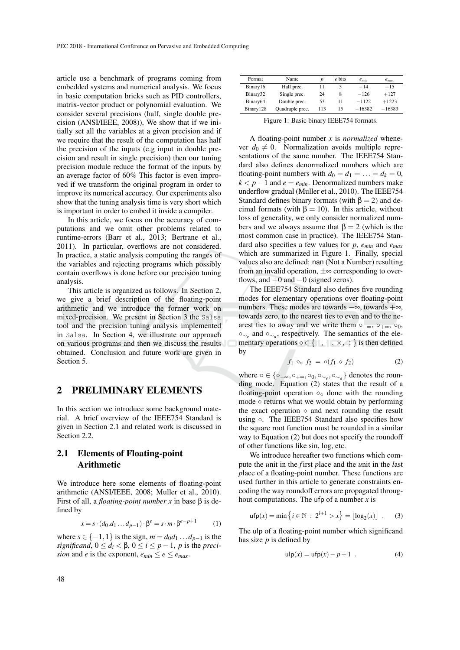article use a benchmark of programs coming from embedded systems and numerical analysis. We focus in basic computation bricks such as PID controllers, matrix-vector product or polynomial evaluation. We consider several precisions (half, single double precision (ANSI/IEEE, 2008)), We show that if we initially set all the variables at a given precision and if we require that the result of the computation has half the precision of the inputs (e.g input in double precision and result in single precision) then our tuning precision module reduce the format of the inputs by an average factor of 60% This factor is even improved if we transform the original program in order to improve its numerical accuracy. Our experiments also show that the tuning analysis time is very short which is important in order to embed it inside a compiler.

In this article, we focus on the accuracy of computations and we omit other problems related to runtime-errors (Barr et al., 2013; Bertrane et al., 2011). In particular, overflows are not considered. In practice, a static analysis computing the ranges of the variables and rejecting programs which possibly contain overflows is done before our precision tuning analysis.

This article is organized as follows. In Section 2, we give a brief description of the floating-point arithmetic and we introduce the former work on mixed-precision. We present in Section 3 the Salsa tool and the precision tuning analysis implemented in Salsa. In Section 4, we illustrate our approach on various programs and then we discuss the results obtained. Conclusion and future work are given in Section 5.

#### 2 PRELIMINARY ELEMENTS

In this section we introduce some background material. A brief overview of the IEEE754 Standard is given in Section 2.1 and related work is discussed in Section 2.2.

## 2.1 Elements of Floating-point Arithmetic

We introduce here some elements of floating-point arithmetic (ANSI/IEEE, 2008; Muller et al., 2010). First of all, a *floating-point number x* in base β is defined by

$$
x = s \cdot (d_0.d_1 \dots d_{p-1}) \cdot \beta^e = s \cdot m \cdot \beta^{e-p+1} \tag{1}
$$

where *s* ∈ {-1,1} is the sign,  $m = d_0d_1...d_{n-1}$  is the *significand*,  $0 \le d_i < \beta$ ,  $0 \le i \le p-1$ , *p* is the *precision* and *e* is the exponent,  $e_{min} \leq e \leq e_{max}$ .

| Format               | Name            | D   | e bits | $e_{min}$ | $e_{max}$ |
|----------------------|-----------------|-----|--------|-----------|-----------|
| Binary16             | Half prec.      | 11  |        | $-14$     | $+15$     |
| Binary32             | Single prec.    | 24  | 8      | $-126$    | $+127$    |
| Binary <sub>64</sub> | Double prec.    | 53  | 11     | $-1122$   | $+1223$   |
| Binary128            | Quadruple prec. | 113 | 15     | $-16382$  | $+16383$  |

Figure 1: Basic binary IEEE754 formats.

A floating-point number *x* is *normalized* whenever  $d_0 \neq 0$ . Normalization avoids multiple representations of the same number. The IEEE754 Standard also defines denormalized numbers which are floating-point numbers with  $d_0 = d_1 = \ldots = d_k = 0$ ,  $k < p-1$  and  $e = e_{min}$ . Denormalized numbers make underflow gradual (Muller et al., 2010). The IEEE754 Standard defines binary formats (with  $\beta = 2$ ) and decimal formats (with  $\beta = 10$ ). In this article, without loss of generality, we only consider normalized numbers and we always assume that  $\beta = 2$  (which is the most common case in practice). The IEEE754 Standard also specifies a few values for *p*, *emin* and *emax* which are summarized in Figure 1. Finally, special values also are defined: nan (Not a Number) resulting from an invalid operation,  $\pm \infty$  corresponding to overflows, and  $+0$  and  $-0$  (signed zeros).

The IEEE754 Standard also defines five rounding modes for elementary operations over floating-point numbers. These modes are towards −∞, towards +∞, towards zero, to the nearest ties to even and to the nearest ties to away and we write them  $\circ_{-\infty}$ ,  $\circ_{+\infty}$ ,  $\circ_{0}$ , ◦∼*<sup>e</sup>* and ◦∼*<sup>a</sup>* , respectively. The semantics of the elementary operations  $\diamond \in \{+, -, \times, \div\}$  is then defined by

$$
f_1 \diamond_{\circ} f_2 = \circ (f_1 \diamond f_2) \tag{2}
$$

where  $\circ \in \{\circ_{-\infty}, \circ_{+\infty}, \circ_{0}, \circ_{\sim_e}, \circ_{\sim_a}\}\)$  denotes the rounding mode. Equation (2) states that the result of a floating-point operation  $\diamond$  done with the rounding mode ◦ returns what we would obtain by performing the exact operation  $\diamond$  and next rounding the result using ○. The IEEE754 Standard also specifies how the square root function must be rounded in a similar way to Equation (2) but does not specify the roundoff of other functions like sin, log, etc.

We introduce hereafter two functions which compute the *u*nit in the *f* irst *p*lace and the *u*nit in the *l*ast *p*lace of a floating-point number. These functions are used further in this article to generate constraints encoding the way roundoff errors are propagated throughout computations. The ufp of a number *x* is

$$
\mathsf{ufp}(x) = \min \left\{ i \in \mathbb{N} \, : \, 2^{i+1} > x \right\} = \lfloor \log_2(x) \rfloor \quad . \tag{3}
$$

The ulp of a floating-point number which significand has size *p* is defined by

$$
\mathsf{ulp}(x) = \mathsf{ufp}(x) - p + 1 \tag{4}
$$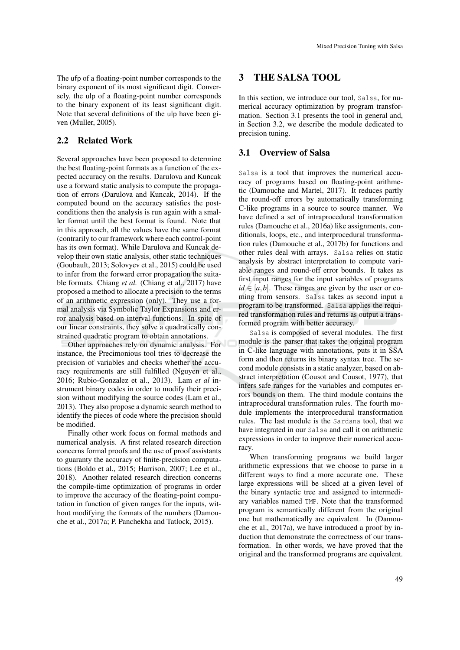The ufp of a floating-point number corresponds to the binary exponent of its most significant digit. Conversely, the ulp of a floating-point number corresponds to the binary exponent of its least significant digit. Note that several definitions of the ulp have been given (Muller, 2005).

### 2.2 Related Work

Several approaches have been proposed to determine the best floating-point formats as a function of the expected accuracy on the results. Darulova and Kuncak use a forward static analysis to compute the propagation of errors (Darulova and Kuncak, 2014). If the computed bound on the accuracy satisfies the postconditions then the analysis is run again with a smaller format until the best format is found. Note that in this approach, all the values have the same format (contrarily to our framework where each control-point has its own format). While Darulova and Kuncak develop their own static analysis, other static techniques (Goubault, 2013; Solovyev et al., 2015) could be used to infer from the forward error propagation the suitable formats. Chiang *et al.* (Chiang et al., 2017) have proposed a method to allocate a precision to the terms of an arithmetic expression (only). They use a formal analysis via Symbolic Taylor Expansions and error analysis based on interval functions. In spite of our linear constraints, they solve a quadratically constrained quadratic program to obtain annotations.

Other approaches rely on dynamic analysis. For instance, the Precimonious tool tries to decrease the precision of variables and checks whether the accuracy requirements are still fulfilled (Nguyen et al., 2016; Rubio-Gonzalez et al., 2013). Lam *et al* instrument binary codes in order to modify their precision without modifying the source codes (Lam et al., 2013). They also propose a dynamic search method to identify the pieces of code where the precision should be modified.

Finally other work focus on formal methods and numerical analysis. A first related research direction concerns formal proofs and the use of proof assistants to guaranty the accuracy of finite-precision computations (Boldo et al., 2015; Harrison, 2007; Lee et al., 2018). Another related research direction concerns the compile-time optimization of programs in order to improve the accuracy of the floating-point computation in function of given ranges for the inputs, without modifying the formats of the numbers (Damouche et al., 2017a; P. Panchekha and Tatlock, 2015).

## 3 THE SALSA TOOL

In this section, we introduce our tool, Salsa, for numerical accuracy optimization by program transformation. Section 3.1 presents the tool in general and, in Section 3.2, we describe the module dedicated to precision tuning.

#### 3.1 Overview of Salsa

Salsa is a tool that improves the numerical accuracy of programs based on floating-point arithmetic (Damouche and Martel, 2017). It reduces partly the round-off errors by automatically transforming C-like programs in a source to source manner. We have defined a set of intraprocedural transformation rules (Damouche et al., 2016a) like assignments, conditionals, loops, etc., and interprocedural transformation rules (Damouche et al., 2017b) for functions and other rules deal with arrays. Salsa relies on static analysis by abstract interpretation to compute variable ranges and round-off error bounds. It takes as first input ranges for the input variables of programs  $id \in [a, b]$ . These ranges are given by the user or coming from sensors. Salsa takes as second input a program to be transformed. Salsa applies the required transformation rules and returns as output a transformed program with better accuracy.

Salsa is composed of several modules. The first module is the parser that takes the original program in C-like language with annotations, puts it in SSA form and then returns its binary syntax tree. The second module consists in a static analyzer, based on abstract interpretation (Cousot and Cousot, 1977), that infers safe ranges for the variables and computes errors bounds on them. The third module contains the intraprocedural transformation rules. The fourth module implements the interprocedural transformation rules. The last module is the Sardana tool, that we have integrated in our Salsa and call it on arithmetic expressions in order to improve their numerical accuracy.

When transforming programs we build larger arithmetic expressions that we choose to parse in a different ways to find a more accurate one. These large expressions will be sliced at a given level of the binary syntactic tree and assigned to intermediary variables named TMP. Note that the transformed program is semantically different from the original one but mathematically are equivalent. In (Damouche et al., 2017a), we have introduced a proof by induction that demonstrate the correctness of our transformation. In other words, we have proved that the original and the transformed programs are equivalent.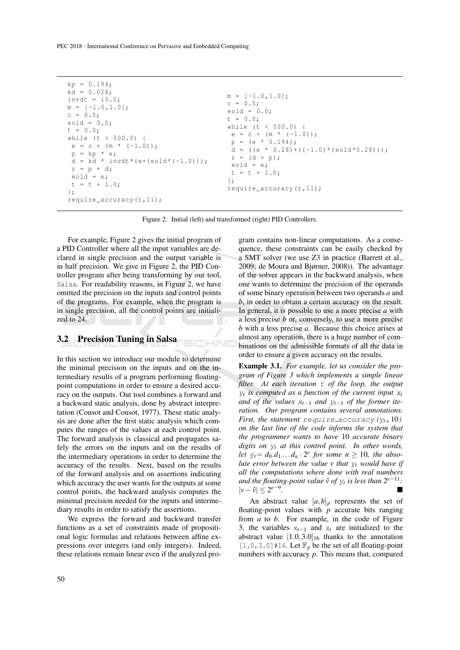PEC 2018 - International Conference on Pervasive and Embedded Computing

```
kp = 0.194;
kd = 0.028;invdt = 10.0;
m = [-1.0, 1.0];c = 0.5;eold = 0.0;
t = 0.0;
while (t < 500.0) {
 e = c + (m * (-1.0));
 p = kp * e;d = k\dot{d} * invdt * (e + (e \text{old} * (-1.0)));
 r = p + d;eold = e;
 t = t + 1.0;};
require_accuracy (r ,11);
                                          m = [-1.0, 1.0];c = 0.5;eold = 0.0;
                                           t = 0.0;
                                           while (t < 500.0) {
                                            e = c + (m * (-1.0));
                                            p = (e * 0.194);d = ((e * 0.28) + ((-1.0) * (eold * 0.28)));
                                            r = (d + p);
                                            eold = e;
                                            t = t + 1.0;};
                                           require_accuracy (r ,11);
```
Figure 2: Initial (left) and transformed (right) PID Controllers.

HND

For example, Figure 2 gives the initial program of a PID Controller where all the input variables are declared in single precision and the output variable is in half precision. We give in Figure 2, the PID Controller program after being transforming by our tool, Salsa. For readability reasons, in Figure 2, we have omitted the precision on the inputs and control points of the programs. For example, when the program is in single precision, all the control points are initialized to 24.

#### 3.2 Precision Tuning in Salsa

In this section we introduce our module to determine the minimal precision on the inputs and on the intermediary results of a program performing floatingpoint computations in order to ensure a desired accuracy on the outputs. Our tool combines a forward and a backward static analysis, done by abstract interpretation (Cousot and Cousot, 1977). These static analysis are done after the first static analysis which computes the ranges of the values at each control point. The forward analysis is classical and propagates safely the errors on the inputs and on the results of the intermediary operations in order to determine the accuracy of the results. Next, based on the results of the forward analysis and on assertions indicating which accuracy the user wants for the outputs at some control points, the backward analysis computes the minimal precision needed for the inputs and intermediary results in order to satisfy the assertions.

We express the forward and backward transfer functions as a set of constraints made of propositional logic formulas and relations between affine expressions over integers (and only integers). Indeed, these relations remain linear even if the analyzed program contains non-linear computations. As a consequence, these constraints can be easily checked by a SMT solver (we use Z3 in practice (Barrett et al., 2009; de Moura and Bjørner, 2008)). The advantage of the solver appears in the backward analysis, when one wants to determine the precision of the operands of some binary operation between two operands *a* and *b*, in order to obtain a certain accuracy on the result. In general, it is possible to use a more precise *a* with a less precise *b* or, conversely, to use a more precise *b* with a less precise *a*. Because this choice arises at almost any operation, there is a huge number of combinations on the admissible formats of all the data in order to ensure a given accuracy on the results.

Example 3.1. *For example, let us consider the program of Figure 3 which implements a simple linear filter. At each iteration* t *of the loop, the output*  $y_t$  is computed as a function of the current input  $x_t$ *and of the values* x*t*−<sup>1</sup> *and* y*t*−<sup>1</sup> *of the former iteration. Our program contains several annotations. First, the statement* require accuracy  $(y_t, 10)$ *on the last line of the code informs the system that the programmer wants to have* 10 *accurate binary digits on* y*<sup>t</sup> at this control point. In other words, let*  $y_t = d_0 \cdot d_1 \ldots d_n \cdot 2^e$  *for some*  $n \geq 10$ *, the absolute error between the value v that* y*<sup>t</sup> would have if all the computations where done with real numbers* and the floating-point value  $\hat{v}$  of  $y_t$  is less than  $2^{e-11}$ : |*v*−*v*ˆ| ≤ 2 *e*−9 *.*

An abstract value  $[a,b]_p$  represents the set of floating-point values with *p* accurate bits ranging from *a* to *b*. For example, in the code of Figure 3, the variables x*t*−<sup>1</sup> and x*<sup>t</sup>* are initialized to the abstract value  $[1.0,3.0]_{16}$  thanks to the annotation  $[1.0, 3.0]$  #16. Let  $\mathbb{F}_p$  be the set of all floating-point numbers with accuracy *p*. This means that, compared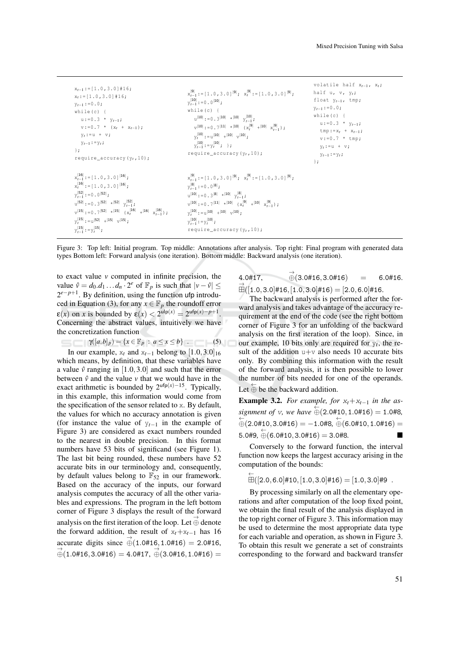```
xt−1 :=[1.0 ,3.0]#16;
xt :=[1.0 ,3.0]#16;
yt−1 :=0.0;
while (c) {
    u :=0.3 * y_{t-1};
    v :=0.7 * (xt + xt−1 );
    yt := u + v;
   yt−1 := yt ;
};
require_accuracy (yt ,10);
                                                                                    x_{t-1}^{|\mathbf{9}|} : = [1.0,3.0]<sup>|9|</sup>; x_t^{|\mathbf{9}|} : = [1.0,3.0]<sup>|9|</sup>;
                                                                                    y_{t-1}^{|10|} : = 0 . 0<sup>|10|</sup>;
                                                                                   while (c) {
                                                                                         |u|^{10} : = 0.3 |10| * |10| y_{t-1} ;
                                                                                         x<sub>t−1</sub>,<br>
v<sup>[10]</sup> :=0.7<sup>|11|</sup> *<sup>|10|</sup> (x<sup>|9|</sup> +<sup>|10|</sup> x<sup>|9|</sup><sub>t−1</sub>);
                                                                                         y_t^{|10|} : = u<sup>|10|</sup> +<sup>|10|</sup> v<sup>|10|</sup>;
                                                                                         y_{t-1}^{|10|} : = y_t^{|10|} ; };
                                                                                   require_accuracy (yt ,10);
                                                                                                                                                                                volatile half xt−1 , xt ;
                                                                                                                                                                            half u, v, y_t;
                                                                                                                                                                               float yt−1 , tmp ;
                                                                                                                                                                               yt−1 :=0.0;
                                                                                                                                                                              while (c) {
                                                                                                                                                                                 u :=0.3 * yt−1;
                                                                                                                                                                                   \tan p := x_t + x_{t-1};
                                                                                                                                                                                    v := 0.7 * tmp;y_t := u + v;yt−1 := yt ;
                                                                                                                                                                                };
 x_{t-1}^{116} : = [1.0,3.0]<sup>|16|</sup>;
 x_t^{|16|} : = [1.0,3.0]<sup>|16|</sup>;
 y_{t-1}^{|52|}: = 0.0<sup>|52|</sup>;
 y_{t-1} :=0.3<sup>[52]</sup> *<sup>[52]</sup> y_{t-1}<br>
y_{t-1}v^{15} :=0.7<sup>|52|</sup> *<sup>|15|</sup> (x_t^{16}<sup>| +|16|</sup> x_{t-1}^{16});
 y_t^{|15|} : = u<sup>[52]</sup> +<sup>[15]</sup> v<sup>[15]</sup> ;
 y_{t-1}^{|15|}: = y_t^{|15|};
                                                                                    x_{t-1}^{|\mathbf{9}|} : = [1.0,3.0]<sup>|9|</sup>; x_t^{|\mathbf{9}|} : = [1.0,3.0]<sup>|9|</sup>;
                                                                                    y_{t-1}^{|\mathbf{8}|} : = 0 . 0<sup>|8|</sup>;
                                                                                    u^{\vert 10 \vert} : = 0 . 3<sup>|8|</sup> *<sup>|10|</sup> y_{t-1}^{\vert 8 \vert} ;
                                                                                    v^{110} : = 0 . 7<sup>|11|</sup> *<sup>|10|</sup> (x_t^{9}<sup>9|</sup> +<sup>|10|</sup> x_{t-1}^{9});
                                                                                    y_t^{|10|} : = u<sup>|10|</sup> +<sup>|10|</sup> v<sup>|10|</sup>;
                                                                                    y_{t-1}^{|10|}: = y_t^{|10|};
                                                                                   require_accuracy (yt ,10);
```
Figure 3: Top left: Initial program. Top middle: Annotations after analysis. Top right: Final program with generated data types Bottom left: Forward analysis (one iteration). Bottom middle: Backward analysis (one iteration).

←

to exact value *v* computed in infinite precision, the value  $\hat{v} = d_0 \cdot d_1 \cdot \cdot \cdot d_n \cdot 2^e$  of  $\mathbb{F}_p$  is such that  $|v - \hat{v}| \leq$ 2<sup>*e*−*p*+1</sup>. By definition, using the function ufp introduced in Equation (3), for any  $x \in \mathbb{F}_p$  the roundoff error  $\mathbf{E}(x)$  on *x* is bounded by  $\mathbf{E}(x) < 2^{\text{ulp}(x)} = 2^{\text{ufp}(x) - p + 1}$ . Concerning the abstract values, intuitively we have the concretization function

$$
\gamma([a,b]_p) = \{x \in \mathbb{F}_p \ : \ a \le x \le b\} \tag{5}
$$

In our example,  $x_t$  and  $x_{t-1}$  belong to  $[1.0, 3.0]_{16}$ which means, by definition, that these variables have a value  $\hat{v}$  ranging in [1.0,3.0] and such that the error between  $\hat{v}$  and the value  $v$  that we would have in the exact arithmetic is bounded by  $2^{\text{ufp}(x)-15}$ . Typically, in this example, this information would come from the specification of the sensor related to x. By default, the values for which no accuracy annotation is given (for instance the value of y*t*−<sup>1</sup> in the example of Figure 3) are considered as exact numbers rounded to the nearest in double precision. In this format numbers have 53 bits of significand (see Figure 1). The last bit being rounded, these numbers have 52 accurate bits in our terminology and, consequently, by default values belong to  $\mathbb{F}_{52}$  in our framework. Based on the accuracy of the inputs, our forward analysis computes the accuracy of all the other variables and expressions. The program in the left bottom corner of Figure 3 displays the result of the forward analysis on the first iteration of the loop. Let  $\vec{\oplus}$  denote the forward addition, the result of  $x_t + x_{t-1}$  has 16 accurate digits since  $\stackrel{\rightarrow}{\oplus}$  (1.0#16, 1.0#16) = 2.0#16,  $\overrightarrow{\oplus}$ (1.0#16, 3.0#16) = 4.0#17,  $\overrightarrow{\oplus}$ (3.0#16, 1.0#16) =

4.0#17,  $\vec{\oplus}$ (3.0#16,3.0#16) = 6.0#16.  $\overset{\rightarrow}{\boxplus}([1.0,3.0]\#16,[1.0,3.0]\#16)=[2.0,6.0]\#16.$ 

The backward analysis is performed after the forward analysis and takes advantage of the accuracy requirement at the end of the code (see the right bottom corner of Figure 3 for an unfolding of the backward analysis on the first iteration of the loop). Since, in our example, 10 bits only are required for  $y_t$ , the result of the addition  $u+v$  also needs 10 accurate bits only. By combining this information with the result of the forward analysis, it is then possible to lower the number of bits needed for one of the operands. Let  $\stackrel{\leftarrow}{\oplus}$  be the backward addition.

**Example 3.2.** For example, for  $x_t + x_{t-1}$  in the as*signment of v*, we have  $\stackrel{\leftarrow}{\oplus}$  (2.0#10, 1.0#16) = 1.0#8,  $\overleftarrow{\oplus}$ (2.0#10,3.0#16) =  $-1.0$ #8,  $\overleftarrow{\oplus}$ (6.0#10,1.0#16) =  $5.0\#9, \stackrel{\leftarrow}{\oplus} (6.0\#10, 3.0\#16) = 3.0\#8.$ 

Conversely to the forward function, the interval function now keeps the largest accuracy arising in the computation of the bounds:

$$
\boxplus ([2.0,6.0]\#10,[1.0,3.0]\#16)=[1.0,3.0]\#9\ .
$$

By processing similarly on all the elementary operations and after computation of the loop fixed point, we obtain the final result of the analysis displayed in the top right corner of Figure 3. This information may be used to determine the most appropriate data type for each variable and operation, as shown in Figure 3. To obtain this result we generate a set of constraints corresponding to the forward and backward transfer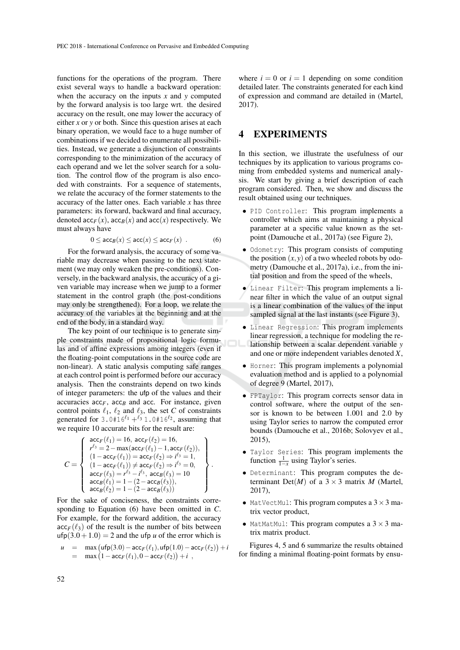functions for the operations of the program. There exist several ways to handle a backward operation: when the accuracy on the inputs *x* and *y* computed by the forward analysis is too large wrt. the desired accuracy on the result, one may lower the accuracy of either *x* or *y* or both. Since this question arises at each binary operation, we would face to a huge number of combinations if we decided to enumerate all possibilities. Instead, we generate a disjunction of constraints corresponding to the minimization of the accuracy of each operand and we let the solver search for a solution. The control flow of the program is also encoded with constraints. For a sequence of statements, we relate the accuracy of the former statements to the accuracy of the latter ones. Each variable  $x$  has three parameters: its forward, backward and final accuracy, denoted  $\operatorname{acc}_F(x)$ ,  $\operatorname{acc}_B(x)$  and  $\operatorname{acc}(x)$  respectively. We must always have

$$
0 \leq \mathsf{acc}_B(x) \leq \mathsf{acc}(x) \leq \mathsf{acc}_F(x) . \tag{6}
$$

For the forward analysis, the accuracy of some variable may decrease when passing to the next statement (we may only weaken the pre-conditions). Conversely, in the backward analysis, the accuracy of a given variable may increase when we jump to a former statement in the control graph (the post-conditions may only be strengthened). For a loop, we relate the accuracy of the variables at the beginning and at the end of the body, in a standard way.

The key point of our technique is to generate simple constraints made of propositional logic formulas and of affine expressions among integers (even if the floating-point computations in the source code are non-linear). A static analysis computing safe ranges at each control point is performed before our accuracy analysis. Then the constraints depend on two kinds of integer parameters: the ufp of the values and their accuracies  $acc_F$ ,  $acc_B$  and  $acc$ . For instance, given control points  $\ell_1$ ,  $\ell_2$  and  $\ell_3$ , the set *C* of constraints generated for  $3.0 + 16^{l_1} + {}^{l_3} 1.0 + 16^{l_2}$ , assuming that we require 10 accurate bits for the result are:

$$
C = \left\{\begin{array}{l} \begin{array}{l} \texttt{acc}_F(\ell_1) = 16, \ \texttt{acc}_F(\ell_2) = 16, \\ r^{\ell_3} = 2 - \max(\texttt{acc}_F(\ell_1) - 1, \texttt{acc}_F(\ell_2)), \\ (1 - \texttt{acc}_F(\ell_1)) = \texttt{acc}_F(\ell_2) \Rightarrow i^{\ell_3} = 1, \\ (1 - \texttt{acc}_F(\ell_1)) \neq \texttt{acc}_F(\ell_2) \Rightarrow i^{\ell_3} = 0, \\ \texttt{acc}_F(\ell_3) = r^{\ell_3} - i^{\ell_3}, \ \texttt{acc}_B(\ell_3) = 10 \\ \texttt{acc}_B(\ell_1) = 1 - (2 - \texttt{acc}_B(\ell_3)), \\ \texttt{acc}_B(\ell_2) = 1 - (2 - \texttt{acc}_B(\ell_3)) \end{array}\right\}
$$

.

For the sake of conciseness, the constraints corresponding to Equation (6) have been omitted in *C*. For example, for the forward addition, the accuracy  $\mathrm{acc}_F(\ell_3)$  of the result is the number of bits between  $\text{ufp}(3.0+1.0) = 2$  and the ufp *u* of the error which is

 $u = \max ( \text{ufp}(3.0) - \text{acc}_F(\ell_1), \text{ufp}(1.0) - \text{acc}_F(\ell_2) ) + i$  $=$  max  $(1 - \text{acc}_F(\ell_1), 0 - \text{acc}_F(\ell_2)) + i$ ,

where  $i = 0$  or  $i = 1$  depending on some condition detailed later. The constraints generated for each kind of expression and command are detailed in (Martel, 2017).

### 4 EXPERIMENTS

In this section, we illustrate the usefulness of our techniques by its application to various programs coming from embedded systems and numerical analysis. We start by giving a brief description of each program considered. Then, we show and discuss the result obtained using our techniques.

- PID Controller: This program implements a controller which aims at maintaining a physical parameter at a specific value known as the setpoint (Damouche et al., 2017a) (see Figure 2),
- Odometry: This program consists of computing the position  $(x, y)$  of a two wheeled robots by odometry (Damouche et al., 2017a), i.e., from the initial position and from the speed of the wheels,
- Linear Filter: This program implements a linear filter in which the value of an output signal is a linear combination of the values of the input sampled signal at the last instants (see Figure 3),
- Linear Regression: This program implements linear regression, a technique for modeling the relationship between a scalar dependent variable *y* and one or more independent variables denoted *X*,
- Horner: This program implements a polynomial evaluation method and is applied to a polynomial of degree 9 (Martel, 2017),
- FPTaylor: This program corrects sensor data in control software, where the output of the sensor is known to be between 1.001 and 2.0 by using Taylor series to narrow the computed error bounds (Damouche et al., 2016b; Solovyev et al., 2015),
- Taylor Series: This program implements the function  $\frac{1}{1-x}$  using Taylor's series.
- Determinant: This program computes the determinant Det(*M*) of a  $3 \times 3$  matrix *M* (Martel, 2017),
- MatVectMul: This program computes a  $3 \times 3$  matrix vector product,
- MatMatMul: This program computes a  $3 \times 3$  matrix matrix product.

Figures 4, 5 and 6 summarize the results obtained for finding a minimal floating-point formats by ensu-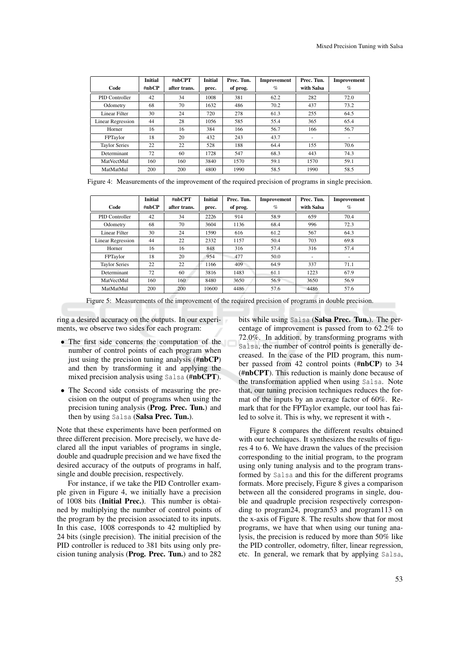|                          | <b>Initial</b> | #nbCPT       | <b>Initial</b> | Prec. Tun. | Improvement | Prec. Tun. | Improvement |
|--------------------------|----------------|--------------|----------------|------------|-------------|------------|-------------|
| Code                     | #nbCP          | after trans. | prec.          | of prog.   | $\%$        | with Salsa | $\%$        |
| PID Controller           | 42             | 34           | 1008           | 381        | 62.2        | 282        | 72.0        |
| Odometry                 | 68             | 70           | 1632           | 486        | 70.2        | 437        | 73.2        |
| Linear Filter            | 30             | 24           | 720            | 278        | 61.3        | 255        | 64.5        |
| <b>Linear Regression</b> | 44             | 28           | 1056           | 585        | 55.4        | 365        | 65.4        |
| Horner                   | 16             | 16           | 384            | 166        | 56.7        | 166        | 56.7        |
| FPTaylor                 | 18             | 20           | 432            | 243        | 43.7        | ٠          | ٠           |
| <b>Taylor Series</b>     | 22             | 22           | 528            | 188        | 64.4        | 155        | 70.6        |
| Determinant              | 72             | 60           | 1728           | 547        | 68.3        | 443        | 74.3        |
| MatVectMul               | 160            | 160          | 3840           | 1570       | 59.1        | 1570       | 59.1        |
| MatMatMul                | 200            | 200          | 4800           | 1990       | 58.5        | 1990       | 58.5        |

Figure 4: Measurements of the improvement of the required precision of programs in single precision.

|                      | <b>Initial</b> | #nbCPT       | <b>Initial</b> | Prec. Tun. | Improvement | Prec. Tun.               | Improvement |
|----------------------|----------------|--------------|----------------|------------|-------------|--------------------------|-------------|
| Code                 | #nbCP          | after trans. | prec.          | of prog.   | $\%$        | with Salsa               | $\%$        |
| PID Controller       | 42             | 34           | 2226           | 914        | 58.9        | 659                      | 70.4        |
| Odometry             | 68             | 70           | 3604           | 1136       | 68.4        | 996                      | 72.3        |
| Linear Filter        | 30             | 24           | 1590           | 616        | 61.2        | 567                      | 64.3        |
| Linear Regression    | 44             | 22           | 2332           | 1157       | 50.4        | 703                      | 69.8        |
| Horner               | 16             | 16           | 848            | 316        | 57.4        | 316                      | 57.4        |
| FPTaylor             | 18             | 20           | 954            | 477        | 50.0        | $\overline{\phantom{a}}$ | ۰           |
| <b>Taylor Series</b> | 22             | 22           | 1166           | 409        | 64.9        | 337                      | 71.1        |
| Determinant          | 72             | 60           | 3816           | 1483       | 61.1        | 1223                     | 67.9        |
| MatVectMul           | 160            | 160          | 8480           | 3650       | 56.9        | 3650                     | 56.9        |
| MatMatMul            | 200            | 200          | 10600          | 4486       | 57.6        | 4486                     | 57.6        |

Figure 5: Measurements of the improvement of the required precision of programs in double precision.

ring a desired accuracy on the outputs. In our experiments, we observe two sides for each program:

- The first side concerns the computation of the number of control points of each program when just using the precision tuning analysis (#nbCP) and then by transforming it and applying the mixed precision analysis using Salsa (#nbCPT).
- The Second side consists of measuring the precision on the output of programs when using the precision tuning analysis (Prog. Prec. Tun.) and then by using Salsa (Salsa Prec. Tun.).

Note that these experiments have been performed on three different precision. More precisely, we have declared all the input variables of programs in single, double and quadruple precision and we have fixed the desired accuracy of the outputs of programs in half, single and double precision, respectively.

For instance, if we take the PID Controller example given in Figure 4, we initially have a precision of 1008 bits (Initial Prec.). This number is obtained by multiplying the number of control points of the program by the precision associated to its inputs. In this case, 1008 corresponds to 42 multiplied by 24 bits (single precision). The initial precision of the PID controller is reduced to 381 bits using only precision tuning analysis (Prog. Prec. Tun.) and to 282

bits while using Salsa (Salsa Prec. Tun.). The percentage of improvement is passed from to 62.2% to 72.0%. In addition, by transforming programs with Salsa, the number of control points is generally decreased. In the case of the PID program, this number passed from 42 control points (#nbCP) to 34 (#nbCPT). This reduction is mainly done because of the transformation applied when using Salsa. Note that, our tuning precision techniques reduces the format of the inputs by an average factor of 60%. Remark that for the FPTaylor example, our tool has failed to solve it. This is why, we represent it with -.

Figure 8 compares the different results obtained with our techniques. It synthesizes the results of figures 4 to 6. We have drawn the values of the precision corresponding to the initial program, to the program using only tuning analysis and to the program transformed by Salsa and this for the different programs formats. More precisely, Figure 8 gives a comparison between all the considered programs in single, double and quadruple precision respectively corresponding to program24, program53 and program113 on the x-axis of Figure 8. The results show that for most programs, we have that when using our tuning analysis, the precision is reduced by more than 50% like the PID controller, odometry, filter, linear regression, etc. In general, we remark that by applying Salsa,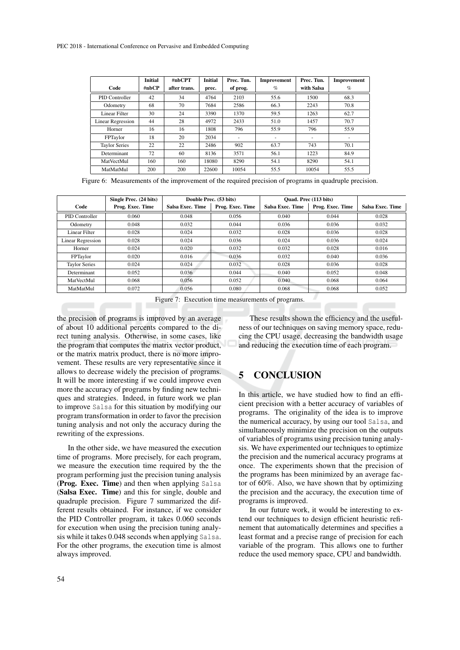|                      | <b>Initial</b> | #nbCPT       | <b>Initial</b> | Prec. Tun. | Improvement | Prec. Tun. | Improvement |
|----------------------|----------------|--------------|----------------|------------|-------------|------------|-------------|
| Code                 | #nbCP          | after trans. | prec.          | of prog.   | $\%$        | with Salsa | $\%$        |
| PID Controller       | 42             | 34           | 4764           | 2103       | 55.6        | 1500       | 68.3        |
| Odometry             | 68             | 70           | 7684           | 2586       | 66.3        | 2243       | 70.8        |
| Linear Filter        | 30             | 24           | 3390           | 1370       | 59.5        | 1263       | 62.7        |
| Linear Regression    | 44             | 28           | 4972           | 2433       | 51.0        | 1457       | 70.7        |
| Horner               | 16             | 16           | 1808           | 796        | 55.9        | 796        | 55.9        |
| FPTaylor             | 18             | 20           | 2034           | ۰          |             |            | ۰           |
| <b>Taylor Series</b> | 22             | 22           | 2486           | 902        | 63.7        | 743        | 70.1        |
| Determinant          | 72             | 60           | 8136           | 3571       | 56.1        | 1223       | 84.9        |
| MatVectMul           | 160            | 160          | 18080          | 8290       | 54.1        | 8290       | 54.1        |
| MatMatMul            | 200            | 200          | 22600          | 10054      | 55.5        | 10054      | 55.5        |

Figure 6: Measurements of the improvement of the required precision of programs in quadruple precision.

|                          | Single Prec. (24 bits) |                  | Double Prec. (53 bits) | Quad. Prec (113 bits)   |                  |                  |
|--------------------------|------------------------|------------------|------------------------|-------------------------|------------------|------------------|
| Code                     | Prog. Exec. Time       | Salsa Exec. Time | Prog. Exec. Time       | <b>Salsa Exec. Time</b> | Prog. Exec. Time | Salsa Exec. Time |
| PID Controller           | 0.060                  | 0.048            | 0.056                  | 0.040                   | 0.044            | 0.028            |
| Odometry                 | 0.048                  | 0.032            | 0.044                  | 0.036                   | 0.036            | 0.032            |
| Linear Filter            | 0.028                  | 0.024            | 0.032                  | 0.028                   | 0.036            | 0.028            |
| <b>Linear Regression</b> | 0.028                  | 0.024            | 0.036                  | 0.024                   | 0.036            | 0.024            |
| Horner                   | 0.024                  | 0.020            | 0.032                  | 0.032                   | 0.028            | 0.016            |
| FPTaylor                 | 0.020                  | 0.016            | 0.036                  | 0.032                   | 0.040            | 0.036            |
| <b>Taylor Series</b>     | 0.024                  | 0.024            | 0.032                  | 0.028                   | 0.036            | 0.028            |
| Determinant              | 0.052                  | 0.036            | 0.044                  | 0.040                   | 0.052            | 0.048            |
| MatVectMul               | 0.068                  | 0.056            | 0.052                  | 0.040                   | 0.068            | 0.064            |
| MatMatMul                | 0.072                  | 0.056            | 0.080                  | 0.068                   | 0.068            | 0.052            |

Figure 7: Execution time measurements of programs.

the precision of programs is improved by an average of about 10 additional percents compared to the direct tuning analysis. Otherwise, in some cases, like the program that computes the matrix vector product, or the matrix matrix product, there is no more improvement. These results are very representative since it allows to decrease widely the precision of programs. It will be more interesting if we could improve even more the accuracy of programs by finding new techniques and strategies. Indeed, in future work we plan to improve Salsa for this situation by modifying our program transformation in order to favor the precision tuning analysis and not only the accuracy during the rewriting of the expressions.

In the other side, we have measured the execution time of programs. More precisely, for each program, we measure the execution time required by the the program performing just the precision tuning analysis (Prog. Exec. Time) and then when applying Salsa (Salsa Exec. Time) and this for single, double and quadruple precision. Figure 7 summarized the different results obtained. For instance, if we consider the PID Controller program, it takes 0.060 seconds for execution when using the precision tuning analysis while it takes 0.048 seconds when applying Salsa. For the other programs, the execution time is almost always improved.

These results shown the efficiency and the usefulness of our techniques on saving memory space, reducing the CPU usage, decreasing the bandwidth usage and reducing the execution time of each program.

## 5 CONCLUSION

In this article, we have studied how to find an efficient precision with a better accuracy of variables of programs. The originality of the idea is to improve the numerical accuracy, by using our tool Salsa, and simultaneously minimize the precision on the outputs of variables of programs using precision tuning analysis. We have experimented our techniques to optimize the precision and the numerical accuracy programs at once. The experiments shown that the precision of the programs has been minimized by an average factor of 60%. Also, we have shown that by optimizing the precision and the accuracy, the execution time of programs is improved.

In our future work, it would be interesting to extend our techniques to design efficient heuristic refinement that automatically determines and specifies a least format and a precise range of precision for each variable of the program. This allows one to further reduce the used memory space, CPU and bandwidth.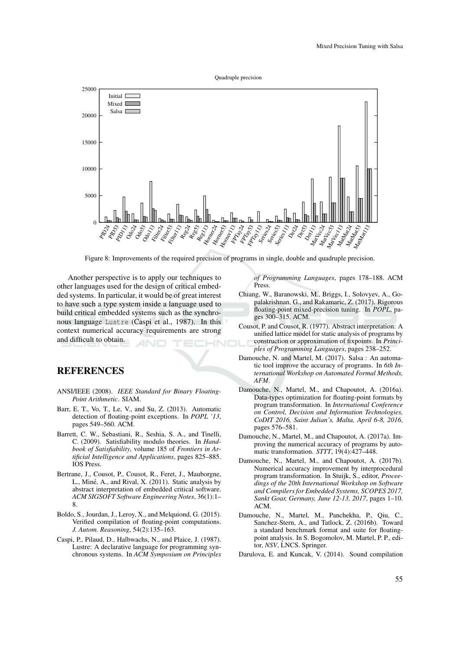

Figure 8: Improvements of the required precision of programs in single, double and quadruple precision.

Another perspective is to apply our techniques to other languages used for the design of critical embedded systems. In particular, it would be of great interest to have such a type system inside a language used to build critical embedded systems such as the synchronous language Lustre (Caspi et al., 1987). In this context numerical accuracy requirements are strong and difficult to obtain.

## REFERENCES

- ANSI/IEEE (2008). *IEEE Standard for Binary Floating-Point Arithmetic*. SIAM.
- Barr, E. T., Vo, T., Le, V., and Su, Z. (2013). Automatic detection of floating-point exceptions. In *POPL '13*, pages 549–560. ACM.
- Barrett, C. W., Sebastiani, R., Seshia, S. A., and Tinelli, C. (2009). Satisfiability modulo theories. In *Handbook of Satisfiability*, volume 185 of *Frontiers in Artificial Intelligence and Applications*, pages 825–885. IOS Press.
- Bertrane, J., Cousot, P., Cousot, R., Feret, J., Mauborgne, L., Miné, A., and Rival, X. (2011). Static analysis by abstract interpretation of embedded critical software. *ACM SIGSOFT Software Engineering Notes*, 36(1):1– 8.
- Boldo, S., Jourdan, J., Leroy, X., and Melquiond, G. (2015). Verified compilation of floating-point computations. *J. Autom. Reasoning*, 54(2):135–163.
- Caspi, P., Pilaud, D., Halbwachs, N., and Plaice, J. (1987). Lustre: A declarative language for programming synchronous systems. In *ACM Symposium on Principles*

*of Programming Languages*, pages 178–188. ACM Press.

- Chiang, W., Baranowski, M., Briggs, I., Solovyev, A., Gopalakrishnan, G., and Rakamaric, Z. (2017). Rigorous floating-point mixed-precision tuning. In *POPL*, pages 300–315. ACM.
- Cousot, P. and Cousot, R. (1977). Abstract interpretation: A unified lattice model for static analysis of programs by construction or approximation of fixpoints. In *Principles of Programming Languages*, pages 238–252.
- Damouche, N. and Martel, M. (2017). Salsa : An automatic tool improve the accuracy of programs. In *6th International Workshop on Automated Formal Methods, AFM*.
- Damouche, N., Martel, M., and Chapoutot, A. (2016a). Data-types optimization for floating-point formats by program transformation. In *International Conference on Control, Decision and Information Technologies, CoDIT 2016, Saint Julian's, Malta, April 6-8, 2016*, pages 576–581.
- Damouche, N., Martel, M., and Chapoutot, A. (2017a). Improving the numerical accuracy of programs by automatic transformation. *STTT*, 19(4):427–448.
- Damouche, N., Martel, M., and Chapoutot, A. (2017b). Numerical accuracy improvement by interprocedural program transformation. In Stuijk, S., editor, *Proceedings of the 20th International Workshop on Software and Compilers for Embedded Systems, SCOPES 2017, Sankt Goar, Germany, June 12-13, 2017*, pages 1–10. ACM.
- Damouche, N., Martel, M., Panchekha, P., Qiu, C. Sanchez-Stern, A., and Tatlock, Z. (2016b). Toward a standard benchmark format and suite for floatingpoint analysis. In S. Bogomolov, M. Martel, P. P., editor, *NSV*, LNCS. Springer.
- Darulova, E. and Kuncak, V. (2014). Sound compilation